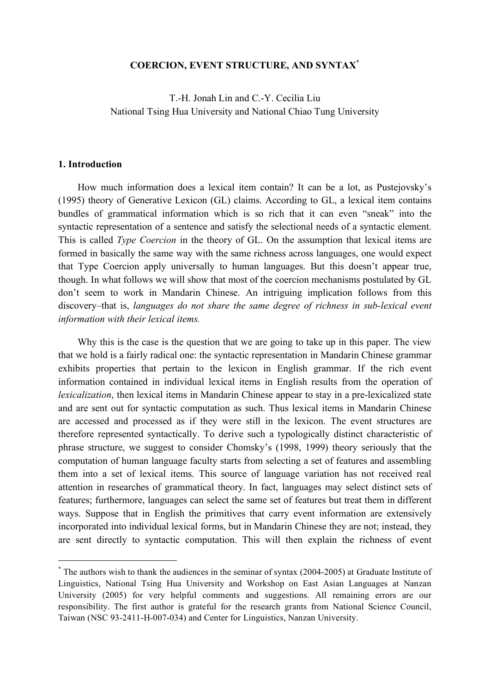#### **COERCION, EVENT STRUCTURE, AND SYNTAX\***

T.-H. Jonah Lin and C.-Y. Cecilia Liu National Tsing Hua University and National Chiao Tung University

#### **1. Introduction**

 $\overline{a}$ 

How much information does a lexical item contain? It can be a lot, as Pustejovsky's (1995) theory of Generative Lexicon (GL) claims. According to GL, a lexical item contains bundles of grammatical information which is so rich that it can even "sneak" into the syntactic representation of a sentence and satisfy the selectional needs of a syntactic element. This is called *Type Coercion* in the theory of GL. On the assumption that lexical items are formed in basically the same way with the same richness across languages, one would expect that Type Coercion apply universally to human languages. But this doesn't appear true, though. In what follows we will show that most of the coercion mechanisms postulated by GL don't seem to work in Mandarin Chinese. An intriguing implication follows from this discovery–that is, *languages do not share the same degree of richness in sub-lexical event information with their lexical items.*

Why this is the case is the question that we are going to take up in this paper. The view that we hold is a fairly radical one: the syntactic representation in Mandarin Chinese grammar exhibits properties that pertain to the lexicon in English grammar. If the rich event information contained in individual lexical items in English results from the operation of *lexicalization*, then lexical items in Mandarin Chinese appear to stay in a pre-lexicalized state and are sent out for syntactic computation as such. Thus lexical items in Mandarin Chinese are accessed and processed as if they were still in the lexicon. The event structures are therefore represented syntactically. To derive such a typologically distinct characteristic of phrase structure, we suggest to consider Chomsky's (1998, 1999) theory seriously that the computation of human language faculty starts from selecting a set of features and assembling them into a set of lexical items. This source of language variation has not received real attention in researches of grammatical theory. In fact, languages may select distinct sets of features; furthermore, languages can select the same set of features but treat them in different ways. Suppose that in English the primitives that carry event information are extensively incorporated into individual lexical forms, but in Mandarin Chinese they are not; instead, they are sent directly to syntactic computation. This will then explain the richness of event

<sup>\*</sup> The authors wish to thank the audiences in the seminar of syntax (2004-2005) at Graduate Institute of Linguistics, National Tsing Hua University and Workshop on East Asian Languages at Nanzan University (2005) for very helpful comments and suggestions. All remaining errors are our responsibility. The first author is grateful for the research grants from National Science Council, Taiwan (NSC 93-2411-H-007-034) and Center for Linguistics, Nanzan University.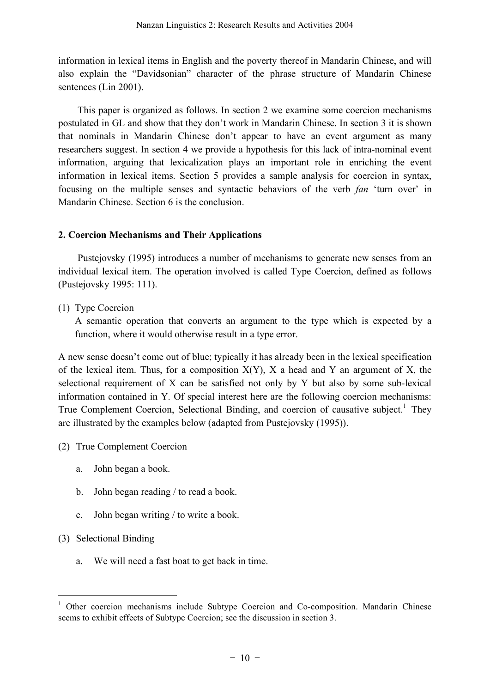information in lexical items in English and the poverty thereof in Mandarin Chinese, and will also explain the "Davidsonian" character of the phrase structure of Mandarin Chinese sentences (Lin 2001).

This paper is organized as follows. In section 2 we examine some coercion mechanisms postulated in GL and show that they don't work in Mandarin Chinese. In section 3 it is shown that nominals in Mandarin Chinese don't appear to have an event argument as many researchers suggest. In section 4 we provide a hypothesis for this lack of intra-nominal event information, arguing that lexicalization plays an important role in enriching the event information in lexical items. Section 5 provides a sample analysis for coercion in syntax, focusing on the multiple senses and syntactic behaviors of the verb *fan* 'turn over' in Mandarin Chinese. Section 6 is the conclusion.

# **2. Coercion Mechanisms and Their Applications**

Pustejovsky (1995) introduces a number of mechanisms to generate new senses from an individual lexical item. The operation involved is called Type Coercion, defined as follows (Pustejovsky 1995: 111).

(1) Type Coercion

A semantic operation that converts an argument to the type which is expected by a function, where it would otherwise result in a type error.

A new sense doesn't come out of blue; typically it has already been in the lexical specification of the lexical item. Thus, for a composition  $X(Y)$ , X a head and Y an argument of X, the selectional requirement of X can be satisfied not only by Y but also by some sub-lexical information contained in Y. Of special interest here are the following coercion mechanisms: True Complement Coercion, Selectional Binding, and coercion of causative subject.<sup>1</sup> They are illustrated by the examples below (adapted from Pustejovsky (1995)).

- (2) True Complement Coercion
	- a. John began a book.
	- b. John began reading / to read a book.
	- c. John began writing / to write a book.
- (3) Selectional Binding

 $\overline{a}$ 

a. We will need a fast boat to get back in time.

<sup>&</sup>lt;sup>1</sup> Other coercion mechanisms include Subtype Coercion and Co-composition. Mandarin Chinese seems to exhibit effects of Subtype Coercion; see the discussion in section 3.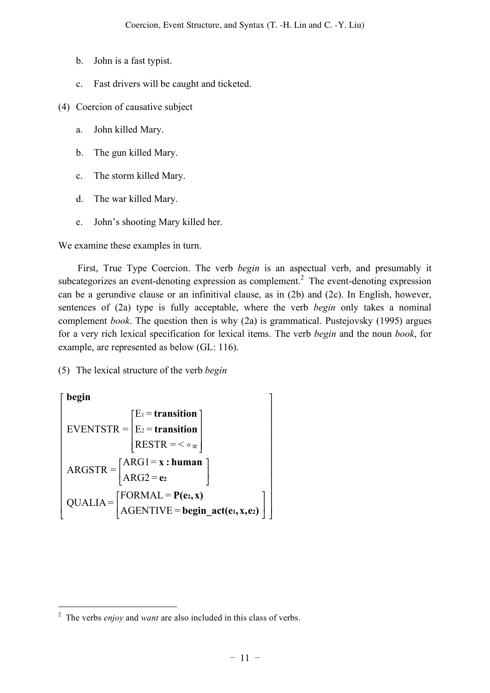- b. John is a fast typist.
- c. Fast drivers will be caught and ticketed.
- (4) Coercion of causative subject
	- a. John killed Mary.
	- b. The gun killed Mary.
	- c. The storm killed Mary.
	- d. The war killed Mary.
	- e. John's shooting Mary killed her.

We examine these examples in turn.

First, True Type Coercion. The verb *begin* is an aspectual verb, and presumably it subcategorizes an event-denoting expression as complement.<sup>2</sup> The event-denoting expression can be a gerundive clause or an infinitival clause, as in (2b) and (2c). In English, however, sentences of (2a) type is fully acceptable, where the verb *begin* only takes a nominal complement *book*. The question then is why (2a) is grammatical. Pustejovsky (1995) argues for a very rich lexical specification for lexical items. The verb *begin* and the noun *book*, for example, are represented as below (GL: 116).

(5) The lexical structure of the verb *begin*

begin\n
$$
\begin{bmatrix}\nbegin\nbegin{bmatrix}\nbegin{bmatrix}\nbegin{bmatrix}\nE_1 = \text{transition} \\
E_2 = \text{transition} \\
RESTR = < \circ \alpha\n\end{bmatrix}\n\end{bmatrix} \\
ARGSTR = \begin{bmatrix}\nARG1 = x : human \\
ARG2 = e_2\n\end{bmatrix} \\
QUALIA = \begin{bmatrix}\nFORMAL = P(e_2, x) \\
AGENTIVE = begin\_act(e_1, x, e_2)\n\end{bmatrix}\n\end{bmatrix}\n\end{bmatrix}
$$

<sup>2</sup> The verbs *enjoy* and *want* are also included in this class of verbs.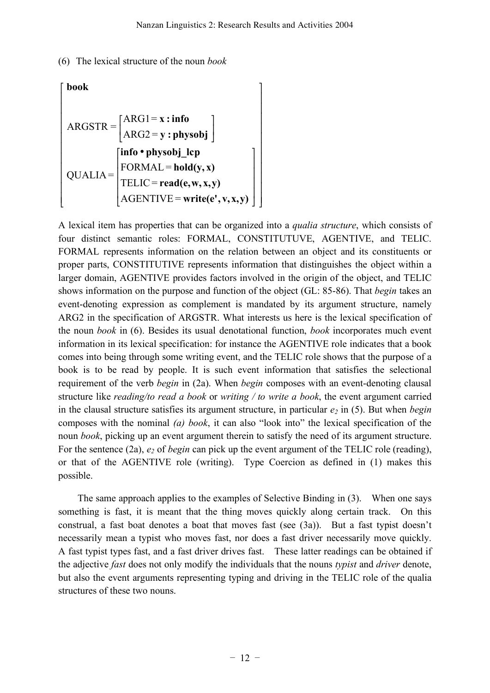(6) The lexical structure of the noun *book*

$$
\begin{bmatrix}\nbook \\
ARGSTR = \begin{bmatrix}\nARG1 = x : info \\
ARG2 = y : physobj\n\end{bmatrix} \\
QUALIA = \begin{bmatrix}\ninfo * physobj\_lep \\
FORMAL = hold(y, x) \\
TELIC = read(e, w, x, y) \\
AGENTIVE = write(e', v, x, y)\n\end{bmatrix}\n\end{bmatrix}
$$

A lexical item has properties that can be organized into a *qualia structure*, which consists of four distinct semantic roles: FORMAL, CONSTITUTUVE, AGENTIVE, and TELIC. FORMAL represents information on the relation between an object and its constituents or proper parts, CONSTITUTIVE represents information that distinguishes the object within a larger domain, AGENTIVE provides factors involved in the origin of the object, and TELIC shows information on the purpose and function of the object (GL: 85-86). That *begin* takes an event-denoting expression as complement is mandated by its argument structure, namely ARG2 in the specification of ARGSTR. What interests us here is the lexical specification of the noun *book* in (6). Besides its usual denotational function, *book* incorporates much event information in its lexical specification: for instance the AGENTIVE role indicates that a book comes into being through some writing event, and the TELIC role shows that the purpose of a book is to be read by people. It is such event information that satisfies the selectional requirement of the verb *begin* in (2a). When *begin* composes with an event-denoting clausal structure like *reading/to read a book* or *writing / to write a book*, the event argument carried in the clausal structure satisfies its argument structure, in particular  $e_2$  in (5). But when *begin* composes with the nominal *(a) book*, it can also "look into" the lexical specification of the noun *book*, picking up an event argument therein to satisfy the need of its argument structure. For the sentence (2a),  $e_2$  of *begin* can pick up the event argument of the TELIC role (reading), or that of the AGENTIVE role (writing). Type Coercion as defined in (1) makes this possible.

The same approach applies to the examples of Selective Binding in (3). When one says something is fast, it is meant that the thing moves quickly along certain track. On this construal, a fast boat denotes a boat that moves fast (see (3a)). But a fast typist doesn't necessarily mean a typist who moves fast, nor does a fast driver necessarily move quickly. A fast typist types fast, and a fast driver drives fast. These latter readings can be obtained if the adjective *fast* does not only modify the individuals that the nouns *typist* and *driver* denote, but also the event arguments representing typing and driving in the TELIC role of the qualia structures of these two nouns.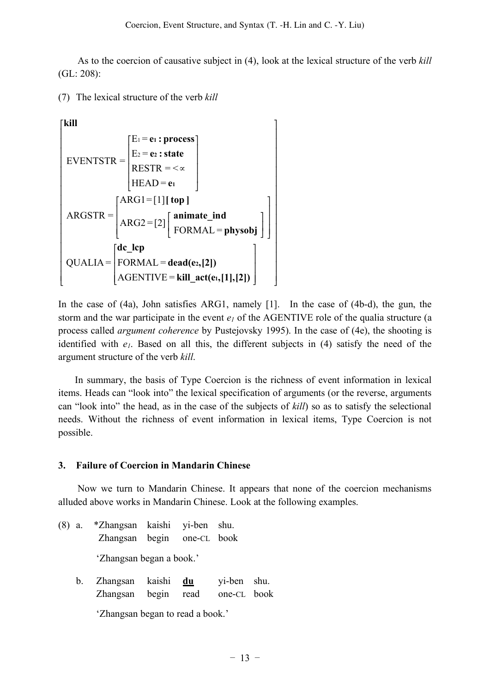As to the coercion of causative subject in (4), look at the lexical structure of the verb *kill* (GL: 208):

(7) The lexical structure of the verb *kill*

$$
\begin{bmatrix}\n\text{kill} \\
\text{EVENTSTR} = \begin{bmatrix}\nE_1 = e_1 : \text{process} \\
E_2 = e_2 : \text{state} \\
\text{RESTR} = < \alpha \\
\text{HEAD} = e_1\n\end{bmatrix}\n\end{bmatrix}
$$
\n
$$
\text{ARGSTR} = \begin{bmatrix}\n\text{ARG1} = [1][\text{top}]\n\end{bmatrix}
$$
\n
$$
\text{ARGSTR} = \begin{bmatrix}\n\text{ARG2} = [2] \begin{bmatrix}\n\text{animate\_ind} \\
\text{FORMAL} = \text{physobj}\n\end{bmatrix}\n\end{bmatrix}
$$
\n
$$
\text{QUALIA} = \begin{bmatrix}\n\text{dc\_lep} \\
\text{FORMAL} = \text{dead}(e_2, [2]) \\
\text{AGENTIVE} = \text{kill\_act}(e_1, [1], [2])\n\end{bmatrix}
$$

In the case of (4a), John satisfies ARG1, namely [1]. In the case of (4b-d), the gun, the storm and the war participate in the event  $e_l$  of the AGENTIVE role of the qualia structure (a process called *argument coherence* by Pustejovsky 1995). In the case of (4e), the shooting is identified with  $e_1$ . Based on all this, the different subjects in (4) satisfy the need of the argument structure of the verb *kill*.

In summary, the basis of Type Coercion is the richness of event information in lexical items. Heads can "look into" the lexical specification of arguments (or the reverse, arguments can "look into" the head, as in the case of the subjects of *kill*) so as to satisfy the selectional needs. Without the richness of event information in lexical items, Type Coercion is not possible.

### **3. Failure of Coercion in Mandarin Chinese**

Now we turn to Mandarin Chinese. It appears that none of the coercion mechanisms alluded above works in Mandarin Chinese. Look at the following examples.

- (8) a. \*Zhangsan kaishi yi-ben shu. Zhangsan begin one-CL book 'Zhangsan began a book.'
	- b. Zhangsan kaishi **du** yi-ben shu. Zhangsan begin read one-CL book

'Zhangsan began to read a book.'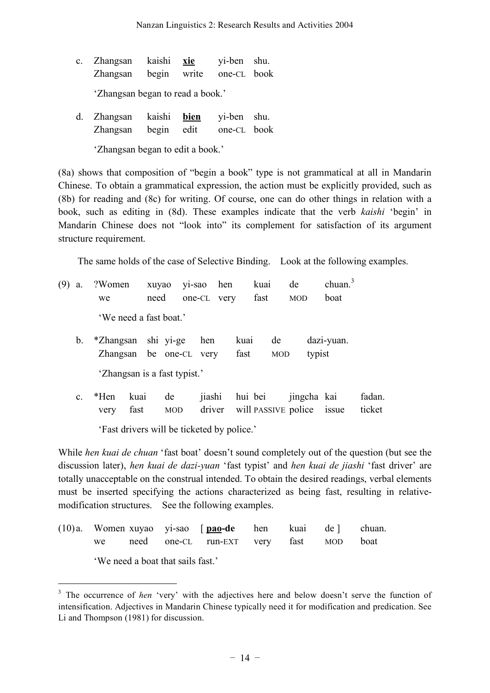c. Zhangsan kaishi **xie** yi-ben shu. Zhangsan begin write one-CL book

'Zhangsan began to read a book.'

d. Zhangsan kaishi **bien** yi-ben shu. Zhangsan begin edit one-CL book

'Zhangsan began to edit a book.'

(8a) shows that composition of "begin a book" type is not grammatical at all in Mandarin Chinese. To obtain a grammatical expression, the action must be explicitly provided, such as (8b) for reading and (8c) for writing. Of course, one can do other things in relation with a book, such as editing in (8d). These examples indicate that the verb *kaishi* 'begin' in Mandarin Chinese does not "look into" its complement for satisfaction of its argument structure requirement.

The same holds of the case of Selective Binding. Look at the following examples.

- (9) a. ?Women xuyao yi-sao hen kuai de chuan.<sup>3</sup> we need one-CL very fast MOD boat 'We need a fast boat.'
	- b. \*Zhangsan shi yi-ge hen kuai de dazi-yuan. Zhangsan be one-CL very fast MOD typist 'Zhangsan is a fast typist.'
	- c. \*Hen kuai de jiashi hui bei jingcha kai fadan. very fast MOD driver will PASSIVE police issue ticket

'Fast drivers will be ticketed by police.'

While *hen kuai de chuan* 'fast boat' doesn't sound completely out of the question (but see the discussion later), *hen kuai de dazi-yuan* 'fast typist' and *hen kuai de jiashi* 'fast driver' are totally unacceptable on the construal intended. To obtain the desired readings, verbal elements must be inserted specifying the actions characterized as being fast, resulting in relativemodification structures. See the following examples.

|  |   | (10)a. Women xuyao yi-sao [ <b>pao-de</b> hen kuai de ] chuan. |  |  |
|--|---|----------------------------------------------------------------|--|--|
|  |   | we need one-CL run-EXT very fast MOD boat                      |  |  |
|  | . |                                                                |  |  |

'We need a boat that sails fast.'

<sup>&</sup>lt;sup>3</sup> The occurrence of *hen* 'very' with the adjectives here and below doesn't serve the function of intensification. Adjectives in Mandarin Chinese typically need it for modification and predication. See Li and Thompson (1981) for discussion.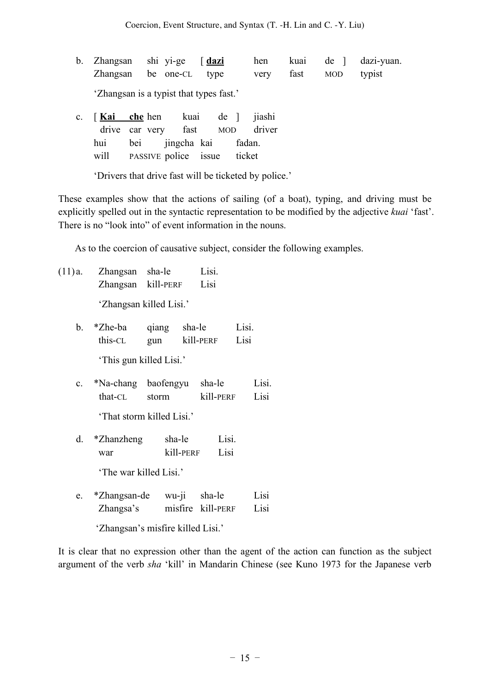b. Zhangsan shi yi-ge [ **dazi** hen kuai de ] dazi-yuan. Zhangsan be one-CL type very fast MOD typist

'Zhangsan is a typist that types fast.'

c. [ **Kai che** hen kuai de ] jiashi drive car very fast MOD driver hui bei jingcha kai fadan. will PASSIVE police issue ticket

'Drivers that drive fast will be ticketed by police.'

These examples show that the actions of sailing (of a boat), typing, and driving must be explicitly spelled out in the syntactic representation to be modified by the adjective *kuai* 'fast'. There is no "look into" of event information in the nouns.

As to the coercion of causative subject, consider the following examples.

- (11) a. Zhangsan sha-le Lisi. Zhangsan kill-PERF Lisi 'Zhangsan killed Lisi.'
	- b. \*Zhe-ba qiang sha-le Lisi. this-CL gun kill-PERF Lisi 'This gun killed Lisi.'
	- c. \*Na-chang baofengyu sha-le Lisi. that-CL storm kill-PERF Lisi

'That storm killed Lisi.'

- d. \*Zhanzheng sha-le Lisi. war kill-PERF Lisi 'The war killed Lisi.'
- e. \*Zhangsan-de wu-ji sha-le Lisi Zhangsa's misfire kill-PERF Lisi

'Zhangsan's misfire killed Lisi.'

It is clear that no expression other than the agent of the action can function as the subject argument of the verb *sha* 'kill' in Mandarin Chinese (see Kuno 1973 for the Japanese verb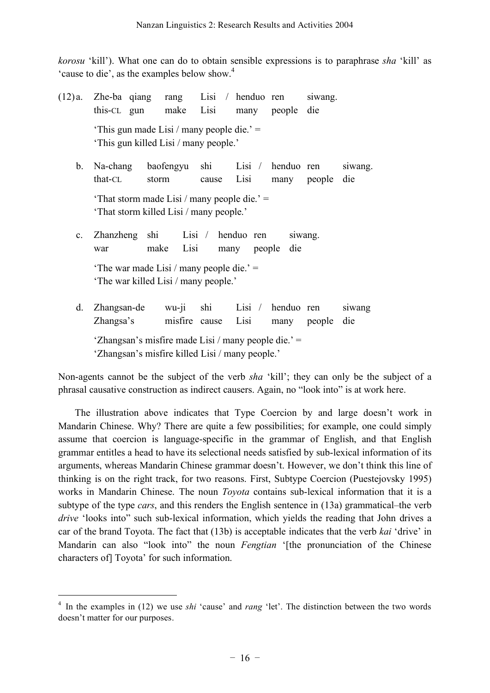*korosu* 'kill'). What one can do to obtain sensible expressions is to paraphrase *sha* 'kill' as 'cause to die', as the examples below show.<sup>4</sup>

| (12)a.         | this-CL gun              | Zhe-ba qiang rang Lisi / henduo ren                                                                    | make Lisi            |             | many people die           | siwang. |                |
|----------------|--------------------------|--------------------------------------------------------------------------------------------------------|----------------------|-------------|---------------------------|---------|----------------|
|                |                          | 'This gun made Lisi / many people die.' $=$<br>'This gun killed Lisi / many people.'                   |                      |             |                           |         |                |
| b.             | that-CL                  | Na-chang baofengyu<br>storm                                                                            | shi<br>cause         | Lisi        | Lisi / henduo ren<br>many | people  | siwang.<br>die |
|                |                          | 'That storm made Lisi / many people die.' $=$<br>'That storm killed Lisi / many people.'               |                      |             |                           |         |                |
| $\mathbf{c}$ . | war                      | Zhanzheng shi Lisi / henduo ren<br>make                                                                | Lisi                 | many people | die                       | siwang. |                |
|                |                          | 'The war made Lisi / many people die.' $=$<br>'The war killed Lisi / many people.'                     |                      |             |                           |         |                |
| d.             | Zhangsan-de<br>Zhangsa's | wu-ji                                                                                                  | shi<br>misfire cause | Lisi        | Lisi / henduo ren<br>many | people  | siwang<br>die  |
|                |                          | 'Zhangsan's misfire made Lisi / many people die.' =<br>'Zhangsan's misfire killed Lisi / many people.' |                      |             |                           |         |                |

Non-agents cannot be the subject of the verb *sha* 'kill'; they can only be the subject of a phrasal causative construction as indirect causers. Again, no "look into" is at work here.

The illustration above indicates that Type Coercion by and large doesn't work in Mandarin Chinese. Why? There are quite a few possibilities; for example, one could simply assume that coercion is language-specific in the grammar of English, and that English grammar entitles a head to have its selectional needs satisfied by sub-lexical information of its arguments, whereas Mandarin Chinese grammar doesn't. However, we don't think this line of thinking is on the right track, for two reasons. First, Subtype Coercion (Puestejovsky 1995) works in Mandarin Chinese. The noun *Toyota* contains sub-lexical information that it is a subtype of the type *cars*, and this renders the English sentence in (13a) grammatical–the verb *drive* 'looks into'' such sub-lexical information, which yields the reading that John drives a car of the brand Toyota. The fact that (13b) is acceptable indicates that the verb *kai* 'drive' in Mandarin can also "look into" the noun *Fengtian* '[the pronunciation of the Chinese characters of] Toyota' for such information.

<sup>&</sup>lt;sup>4</sup> In the examples in (12) we use *shi* 'cause' and *rang* 'let'. The distinction between the two words doesn't matter for our purposes.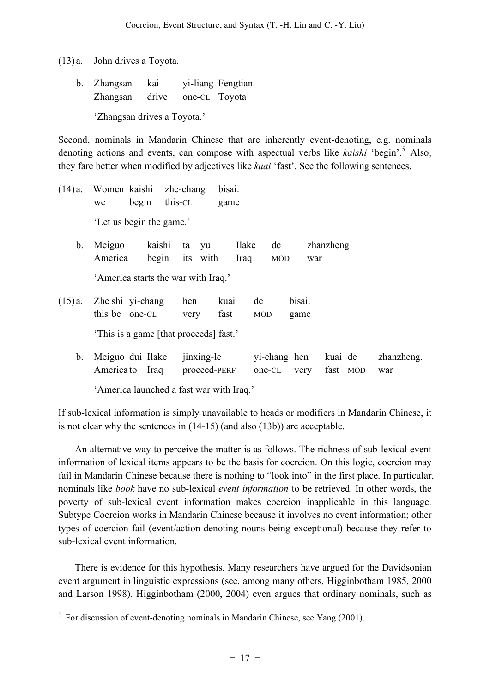(13) a. John drives a Toyota.

b. Zhangsan kai yi-liang Fengtian. Zhangsan drive one-CL Toyota 'Zhangsan drives a Toyota.'

Second, nominals in Mandarin Chinese that are inherently event-denoting, e.g. nominals denoting actions and events, can compose with aspectual verbs like *kaishi* 'begin'. <sup>5</sup> Also, they fare better when modified by adjectives like *kuai* 'fast'. See the following sentences.

(14) a. Women kaishi zhe-chang bisai. we begin this-CL game 'Let us begin the game.' b. Meiguo kaishi ta yu Ilake de zhanzheng America begin its with Iraq MOD war 'America starts the war with Iraq.' (15) a. Zhe shi yi-chang hen kuai de bisai. this be one-CL very fast MOD game 'This is a game [that proceeds] fast.' b. Meiguo dui Ilake jinxing-le yi-chang hen kuai de zhanzheng. America to Iraq proceed-PERF one-CL very fast MOD war

'America launched a fast war with Iraq.'

If sub-lexical information is simply unavailable to heads or modifiers in Mandarin Chinese, it is not clear why the sentences in (14-15) (and also (13b)) are acceptable.

An alternative way to perceive the matter is as follows. The richness of sub-lexical event information of lexical items appears to be the basis for coercion. On this logic, coercion may fail in Mandarin Chinese because there is nothing to "look into" in the first place. In particular, nominals like *book* have no sub-lexical *event information* to be retrieved. In other words, the poverty of sub-lexical event information makes coercion inapplicable in this language. Subtype Coercion works in Mandarin Chinese because it involves no event information; other types of coercion fail (event/action-denoting nouns being exceptional) because they refer to sub-lexical event information.

There is evidence for this hypothesis. Many researchers have argued for the Davidsonian event argument in linguistic expressions (see, among many others, Higginbotham 1985, 2000 and Larson 1998). Higginbotham (2000, 2004) even argues that ordinary nominals, such as

 $5$  For discussion of event-denoting nominals in Mandarin Chinese, see Yang (2001).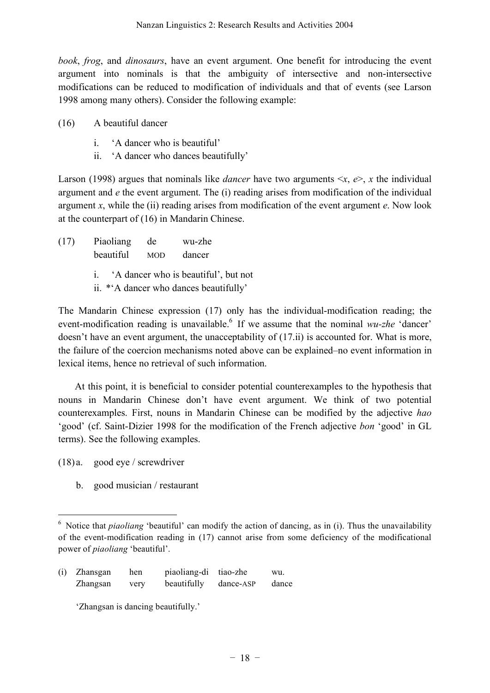*book*, *frog*, and *dinosaurs*, have an event argument. One benefit for introducing the event argument into nominals is that the ambiguity of intersective and non-intersective modifications can be reduced to modification of individuals and that of events (see Larson 1998 among many others). Consider the following example:

- (16) A beautiful dancer
	- i. 'A dancer who is beautiful'
	- ii. 'A dancer who dances beautifully'

Larson (1998) argues that nominals like *dancer* have two arguments  $\langle x, e \rangle$ , *x* the individual argument and *e* the event argument. The (i) reading arises from modification of the individual argument *x*, while the (ii) reading arises from modification of the event argument *e*. Now look at the counterpart of (16) in Mandarin Chinese.

- (17) Piaoliang de wu-zhe beautiful MOD dancer i. 'A dancer who is beautiful', but not
	- ii. \*'A dancer who dances beautifully'

The Mandarin Chinese expression (17) only has the individual-modification reading; the event-modification reading is unavailable. <sup>6</sup> If we assume that the nominal *wu-zhe* 'dancer' doesn't have an event argument, the unacceptability of (17.ii) is accounted for. What is more, the failure of the coercion mechanisms noted above can be explained–no event information in lexical items, hence no retrieval of such information.

At this point, it is beneficial to consider potential counterexamples to the hypothesis that nouns in Mandarin Chinese don't have event argument. We think of two potential counterexamples. First, nouns in Mandarin Chinese can be modified by the adjective *hao* 'good' (cf. Saint-Dizier 1998 for the modification of the French adjective *bon* 'good' in GL terms). See the following examples.

(18) a. good eye / screwdriver

 $\overline{a}$ 

b. good musician / restaurant

(i) Zhansgan hen piaoliang-di tiao-zhe wu. Zhangsan very beautifully dance-ASP dance

'Zhangsan is dancing beautifully.'

<sup>&</sup>lt;sup>6</sup> Notice that *piaoliang* 'beautiful' can modify the action of dancing, as in (i). Thus the unavailability of the event-modification reading in (17) cannot arise from some deficiency of the modificational power of *piaoliang* 'beautiful'.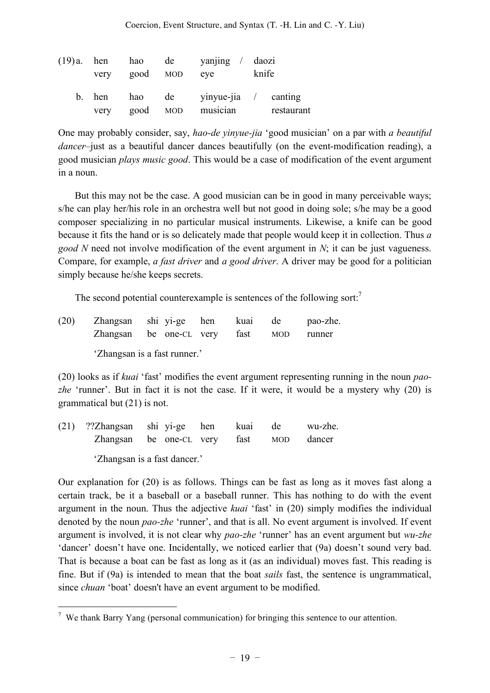|                | very good MOD   | $(19)a$ hen hao de yanjing daozi<br>eve | knife      |
|----------------|-----------------|-----------------------------------------|------------|
| b. hen<br>very | hao<br>good MOD | de vinyue-jia / canting<br>musician     | restaurant |

One may probably consider, say, *hao-de yinyue-jia* 'good musician' on a par with *a beautiful dancer*–just as a beautiful dancer dances beautifully (on the event-modification reading), a good musician *plays music good*. This would be a case of modification of the event argument in a noun.

But this may not be the case. A good musician can be in good in many perceivable ways; s/he can play her/his role in an orchestra well but not good in doing sole; s/he may be a good composer specializing in no particular musical instruments. Likewise, a knife can be good because it fits the hand or is so delicately made that people would keep it in collection. Thus *a good N* need not involve modification of the event argument in *N*; it can be just vagueness. Compare, for example, *a fast driver* and *a good driver*. A driver may be good for a politician simply because he/she keeps secrets.

The second potential counterexample is sentences of the following sort.<sup>7</sup>

| (20) | Zhangsan shi yi-ge hen kuai de<br>Zhangsan be one-CL very fast MOD |  |  | pao-zhe.<br>runner |
|------|--------------------------------------------------------------------|--|--|--------------------|
|      | 'Zhangsan is a fast runner.'                                       |  |  |                    |

(20) looks as if *kuai* 'fast' modifies the event argument representing running in the noun *pao*zhe 'runner'. But in fact it is not the case. If it were, it would be a mystery why (20) is grammatical but (21) is not.

| (21) ??Zhangsan shi yi-ge hen kuai de wu-zhe. |  |  |  |
|-----------------------------------------------|--|--|--|
| Zhangsan be one-CL very fast MOD dancer       |  |  |  |
|                                               |  |  |  |

'Zhangsan is a fast dancer.'

 $\overline{a}$ 

Our explanation for (20) is as follows. Things can be fast as long as it moves fast along a certain track, be it a baseball or a baseball runner. This has nothing to do with the event argument in the noun. Thus the adjective *kuai* 'fast' in (20) simply modifies the individual denoted by the noun *pao-zhe* 'runner', and that is all. No event argument is involved. If event argument is involved, it is not clear why *pao-zhe* 'runner' has an event argument but *wu-zhe* 'dancer' doesn't have one. Incidentally, we noticed earlier that (9a) doesn't sound very bad. That is because a boat can be fast as long as it (as an individual) moves fast. This reading is fine. But if (9a) is intended to mean that the boat *sails* fast, the sentence is ungrammatical, since *chuan* 'boat' doesn't have an event argument to be modified.

 $7$  We thank Barry Yang (personal communication) for bringing this sentence to our attention.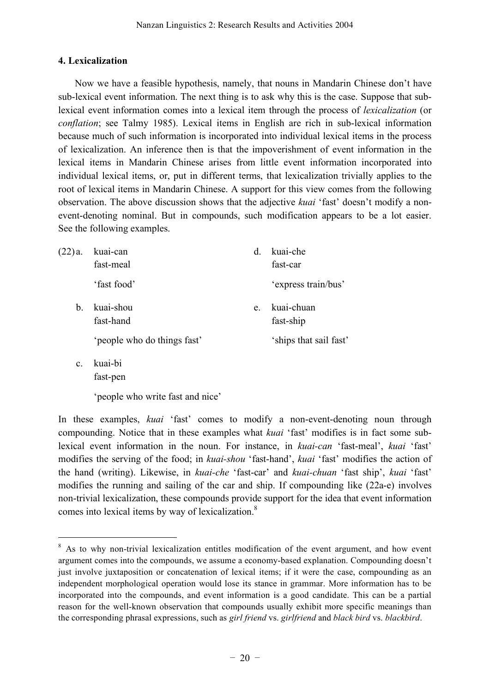## **4. Lexicalization**

Now we have a feasible hypothesis, namely, that nouns in Mandarin Chinese don't have sub-lexical event information. The next thing is to ask why this is the case. Suppose that sublexical event information comes into a lexical item through the process of *lexicalization* (or *conflation*; see Talmy 1985). Lexical items in English are rich in sub-lexical information because much of such information is incorporated into individual lexical items in the process of lexicalization. An inference then is that the impoverishment of event information in the lexical items in Mandarin Chinese arises from little event information incorporated into individual lexical items, or, put in different terms, that lexicalization trivially applies to the root of lexical items in Mandarin Chinese. A support for this view comes from the following observation. The above discussion shows that the adjective *kuai* 'fast' doesn't modify a nonevent-denoting nominal. But in compounds, such modification appears to be a lot easier. See the following examples.

| $(22)a$ .   | kuai-can<br>fast-meal                                 | <sub>d</sub> | kuai-che<br>fast-car                              |
|-------------|-------------------------------------------------------|--------------|---------------------------------------------------|
|             | 'fast food'                                           |              | 'express train/bus'                               |
| $b_{\cdot}$ | kuai-shou<br>fast-hand<br>'people who do things fast' | e.           | kuai-chuan<br>fast-ship<br>'ships that sail fast' |

c. kuai-bi fast-pen

 $\overline{a}$ 

'people who write fast and nice'

In these examples, *kuai* 'fast' comes to modify a non-event-denoting noun through compounding. Notice that in these examples what *kuai* 'fast' modifies is in fact some sublexical event information in the noun. For instance, in *kuai-can* 'fast-meal', *kuai* 'fast' modifies the serving of the food; in *kuai-shou* 'fast-hand', *kuai* 'fast' modifies the action of the hand (writing). Likewise, in *kuai-che* 'fast-car' and *kuai-chuan* 'fast ship', *kuai* 'fast' modifies the running and sailing of the car and ship. If compounding like (22a-e) involves non-trivial lexicalization, these compounds provide support for the idea that event information comes into lexical items by way of lexicalization.<sup>8</sup>

<sup>&</sup>lt;sup>8</sup> As to why non-trivial lexicalization entitles modification of the event argument, and how event argument comes into the compounds, we assume a economy-based explanation. Compounding doesn't just involve juxtaposition or concatenation of lexical items; if it were the case, compounding as an independent morphological operation would lose its stance in grammar. More information has to be incorporated into the compounds, and event information is a good candidate. This can be a partial reason for the well-known observation that compounds usually exhibit more specific meanings than the corresponding phrasal expressions, such as *girl friend* vs. *girlfriend* and *black bird* vs. *blackbird*.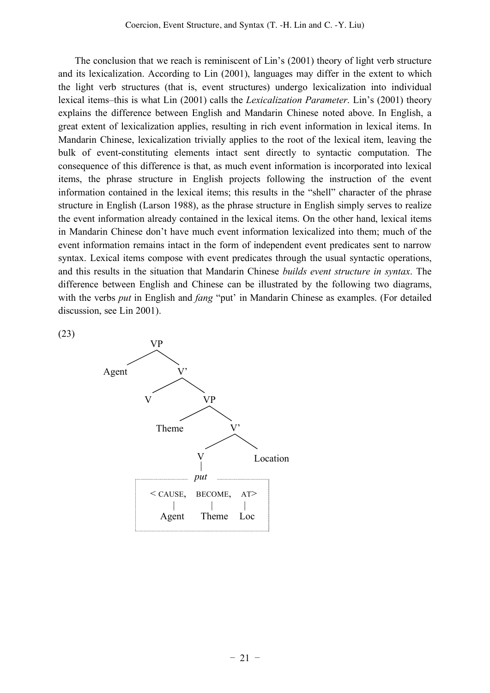The conclusion that we reach is reminiscent of Lin's (2001) theory of light verb structure and its lexicalization. According to Lin (2001), languages may differ in the extent to which the light verb structures (that is, event structures) undergo lexicalization into individual lexical items–this is what Lin (2001) calls the *Lexicalization Parameter*. Lin's (2001) theory explains the difference between English and Mandarin Chinese noted above. In English, a great extent of lexicalization applies, resulting in rich event information in lexical items. In Mandarin Chinese, lexicalization trivially applies to the root of the lexical item, leaving the bulk of event-constituting elements intact sent directly to syntactic computation. The consequence of this difference is that, as much event information is incorporated into lexical items, the phrase structure in English projects following the instruction of the event information contained in the lexical items; this results in the "shell" character of the phrase structure in English (Larson 1988), as the phrase structure in English simply serves to realize the event information already contained in the lexical items. On the other hand, lexical items in Mandarin Chinese don't have much event information lexicalized into them; much of the event information remains intact in the form of independent event predicates sent to narrow syntax. Lexical items compose with event predicates through the usual syntactic operations, and this results in the situation that Mandarin Chinese *builds event structure in syntax*. The difference between English and Chinese can be illustrated by the following two diagrams, with the verbs *put* in English and *fang* "put' in Mandarin Chinese as examples. (For detailed discussion, see Lin 2001).



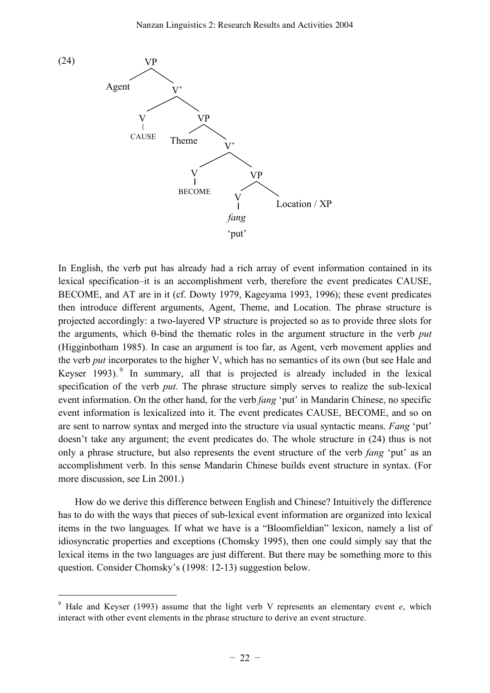

In English, the verb put has already had a rich array of event information contained in its lexical specification–it is an accomplishment verb, therefore the event predicates CAUSE, BECOME, and AT are in it (cf. Dowty 1979, Kageyama 1993, 1996); these event predicates then introduce different arguments, Agent, Theme, and Location. The phrase structure is projected accordingly: a two-layered VP structure is projected so as to provide three slots for the arguments, which θ-bind the thematic roles in the argument structure in the verb *put* (Higginbotham 1985). In case an argument is too far, as Agent, verb movement applies and the verb *put* incorporates to the higher V, which has no semantics of its own (but see Hale and Keyser 1993).<sup>9</sup> In summary, all that is projected is already included in the lexical specification of the verb *put*. The phrase structure simply serves to realize the sub-lexical event information. On the other hand, for the verb *fang* 'put' in Mandarin Chinese, no specific event information is lexicalized into it. The event predicates CAUSE, BECOME, and so on are sent to narrow syntax and merged into the structure via usual syntactic means. *Fang* 'put' doesn't take any argument; the event predicates do. The whole structure in (24) thus is not only a phrase structure, but also represents the event structure of the verb *fang* 'put' as an accomplishment verb. In this sense Mandarin Chinese builds event structure in syntax. (For more discussion, see Lin 2001.)

How do we derive this difference between English and Chinese? Intuitively the difference has to do with the ways that pieces of sub-lexical event information are organized into lexical items in the two languages. If what we have is a "Bloomfieldian" lexicon, namely a list of idiosyncratic properties and exceptions (Chomsky 1995), then one could simply say that the lexical items in the two languages are just different. But there may be something more to this question. Consider Chomsky's (1998: 12-13) suggestion below.

<sup>9</sup> Hale and Keyser (1993) assume that the light verb V represents an elementary event *e*, which interact with other event elements in the phrase structure to derive an event structure.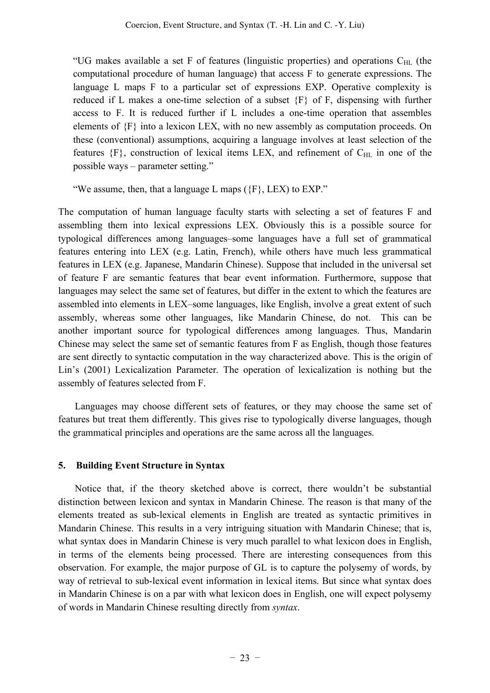"UG makes available a set F of features (linguistic properties) and operations  $C_{\text{HL}}$  (the computational procedure of human language) that access F to generate expressions. The language L maps F to a particular set of expressions EXP. Operative complexity is reduced if L makes a one-time selection of a subset {F} of F, dispensing with further access to F. It is reduced further if L includes a one-time operation that assembles elements of {F} into a lexicon LEX, with no new assembly as computation proceeds. On these (conventional) assumptions, acquiring a language involves at least selection of the features  ${F}$ , construction of lexical items LEX, and refinement of  $C_{HL}$  in one of the possible ways – parameter setting."

"We assume, then, that a language L maps  $({F}, LEX)$  to  $EXP$ ."

The computation of human language faculty starts with selecting a set of features F and assembling them into lexical expressions LEX. Obviously this is a possible source for typological differences among languages–some languages have a full set of grammatical features entering into LEX (e.g. Latin, French), while others have much less grammatical features in LEX (e.g. Japanese, Mandarin Chinese). Suppose that included in the universal set of feature F are semantic features that bear event information. Furthermore, suppose that languages may select the same set of features, but differ in the extent to which the features are assembled into elements in LEX–some languages, like English, involve a great extent of such assembly, whereas some other languages, like Mandarin Chinese, do not. This can be another important source for typological differences among languages. Thus, Mandarin Chinese may select the same set of semantic features from F as English, though those features are sent directly to syntactic computation in the way characterized above. This is the origin of Lin's (2001) Lexicalization Parameter. The operation of lexicalization is nothing but the assembly of features selected from F.

Languages may choose different sets of features, or they may choose the same set of features but treat them differently. This gives rise to typologically diverse languages, though the grammatical principles and operations are the same across all the languages.

## **5. Building Event Structure in Syntax**

Notice that, if the theory sketched above is correct, there wouldn't be substantial distinction between lexicon and syntax in Mandarin Chinese. The reason is that many of the elements treated as sub-lexical elements in English are treated as syntactic primitives in Mandarin Chinese. This results in a very intriguing situation with Mandarin Chinese; that is, what syntax does in Mandarin Chinese is very much parallel to what lexicon does in English, in terms of the elements being processed. There are interesting consequences from this observation. For example, the major purpose of GL is to capture the polysemy of words, by way of retrieval to sub-lexical event information in lexical items. But since what syntax does in Mandarin Chinese is on a par with what lexicon does in English, one will expect polysemy of words in Mandarin Chinese resulting directly from *syntax*.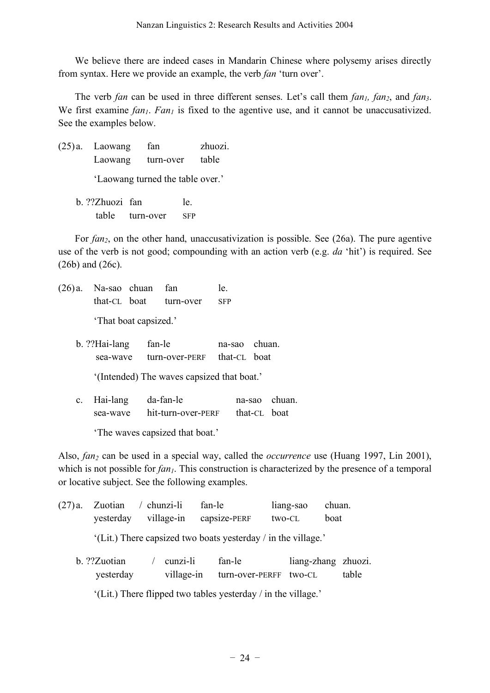We believe there are indeed cases in Mandarin Chinese where polysemy arises directly from syntax. Here we provide an example, the verb *fan* 'turn over'.

The verb *fan* can be used in three different senses. Let's call them *fan<sub>1</sub>*, *fan<sub>2</sub>*, and *fan<sub>3</sub>*. We first examine  $fan_1$ .  $Fan_1$  is fixed to the agentive use, and it cannot be unaccusativized. See the examples below.

(25) a. Laowang fan zhuozi. Laowang turn-over table

'Laowang turned the table over.'

b. ??Zhuozi fan le. table turn-over SFP

For *fan2*, on the other hand, unaccusativization is possible. See (26a). The pure agentive use of the verb is not good; compounding with an action verb (e.g. *da* 'hit') is required. See (26b) and (26c).

- (26) a. Na-sao chuan fan le. that-CL boat turn-over SFP 'That boat capsized.'
	- b. ??Hai-lang fan-le na-sao chuan. sea-wave turn-over-PERF that-CL boat

'(Intended) The waves capsized that boat.'

c. Hai-lang da-fan-le na-sao chuan. sea-wave hit-turn-over-PERF that-CL boat

'The waves capsized that boat.'

Also, *fan<sub>2</sub>* can be used in a special way, called the *occurrence* use (Huang 1997, Lin 2001), which is not possible for *fan<sub>1</sub>*. This construction is characterized by the presence of a temporal or locative subject. See the following examples.

| $(27)$ a. | Zuotian<br>yesterday      | $/$ chunzi-li<br>village-in | fan-le | capsize-PERF                                                  | two-CL | liang-sao                     | chuan.<br>boat |       |
|-----------|---------------------------|-----------------------------|--------|---------------------------------------------------------------|--------|-------------------------------|----------------|-------|
|           |                           |                             |        | '(Lit.) There capsized two boats yesterday / in the village.' |        |                               |                |       |
|           | b. ??Zuotian<br>yesterday | cunzi-li<br>village-in      |        | fan-le<br>turn-over-PERFF                                     |        | liang-zhang zhuozi.<br>two-CL |                | table |
|           |                           |                             |        | '(Lit.) There flipped two tables yesterday / in the village.' |        |                               |                |       |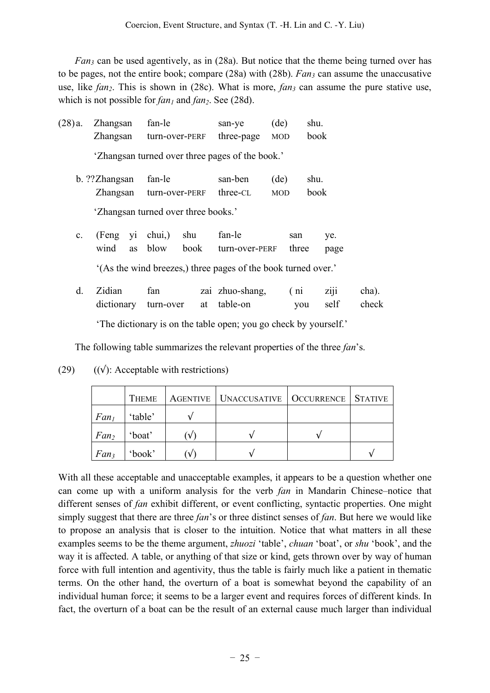*Fan3* can be used agentively, as in (28a). But notice that the theme being turned over has to be pages, not the entire book; compare (28a) with (28b). *Fan<sub>3</sub>* can assume the unaccusative use, like  $fan_2$ . This is shown in (28c). What is more,  $fan_3$  can assume the pure stative use, which is not possible for  $fan_1$  and  $fan_2$ . See (28d).

| $(28)$ a.      | Zhangsan        | fan-le                                                         |    | san-ye          | (de)       | shu. |      |       |
|----------------|-----------------|----------------------------------------------------------------|----|-----------------|------------|------|------|-------|
|                | Zhangsan        | turn-over-PERF                                                 |    | three-page      | <b>MOD</b> | book |      |       |
|                |                 | 'Zhangsan turned over three pages of the book.'                |    |                 |            |      |      |       |
|                | b. ??Zhangsan   | fan-le                                                         |    | san-ben         | (de)       | shu. |      |       |
|                | Zhangsan        | turn-over-PERF                                                 |    | three-CL        | <b>MOD</b> | book |      |       |
|                |                 | 'Zhangsan turned over three books.'                            |    |                 |            |      |      |       |
| $\mathbf{c}$ . | (Feng yi chui,) | shu                                                            |    | fan-le          | san        |      | ye.  |       |
|                | wind<br>as      | blow<br>book                                                   |    | turn-over-PERF  | three      |      | page |       |
|                |                 | '(As the wind breezes,) three pages of the book turned over.'  |    |                 |            |      |      |       |
| d.             | Zidian          | fan                                                            |    | zai zhuo-shang, | (ni)       |      | ziji | cha). |
|                | dictionary      | turn-over                                                      | at | table-on        |            | you  | self | check |
|                |                 | The dictionary is on the table open; you go check by yourself. |    |                 |            |      |      |       |

The following table summarizes the relevant properties of the three *fan*'s.

|                  | THEME   | AGENTIVE   UNACCUSATIVE   OCCURRENCE   STATIVE |  |
|------------------|---------|------------------------------------------------|--|
| Fan <sub>1</sub> | 'table' |                                                |  |
| Fan <sub>2</sub> | 'boat'  |                                                |  |
| Fan <sub>3</sub> | 'book'  |                                                |  |

(29)  $((\sqrt{x}))$ : Acceptable with restrictions)

With all these acceptable and unacceptable examples, it appears to be a question whether one can come up with a uniform analysis for the verb *fan* in Mandarin Chinese–notice that different senses of *fan* exhibit different, or event conflicting, syntactic properties. One might simply suggest that there are three *fan*'s or three distinct senses of *fan*. But here we would like to propose an analysis that is closer to the intuition. Notice that what matters in all these examples seems to be the theme argument, *zhuozi* 'table', *chuan* 'boat', or *shu* 'book', and the way it is affected. A table, or anything of that size or kind, gets thrown over by way of human force with full intention and agentivity, thus the table is fairly much like a patient in thematic terms. On the other hand, the overturn of a boat is somewhat beyond the capability of an individual human force; it seems to be a larger event and requires forces of different kinds. In fact, the overturn of a boat can be the result of an external cause much larger than individual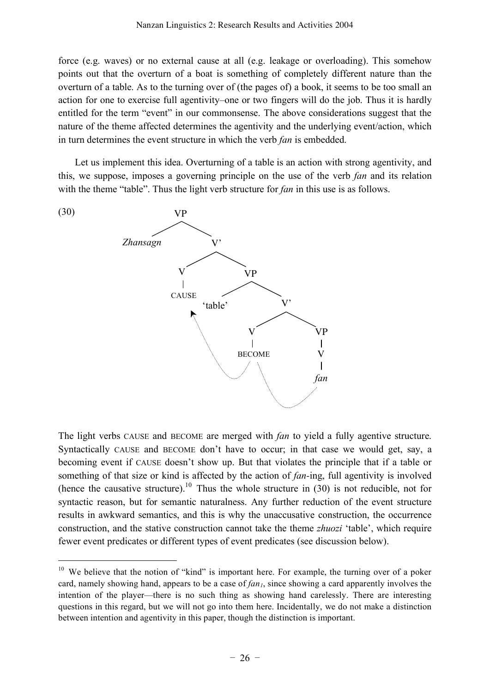force (e.g. waves) or no external cause at all (e.g. leakage or overloading). This somehow points out that the overturn of a boat is something of completely different nature than the overturn of a table. As to the turning over of (the pages of) a book, it seems to be too small an action for one to exercise full agentivity–one or two fingers will do the job. Thus it is hardly entitled for the term "event" in our commonsense. The above considerations suggest that the nature of the theme affected determines the agentivity and the underlying event/action, which in turn determines the event structure in which the verb *fan* is embedded.

Let us implement this idea. Overturning of a table is an action with strong agentivity, and this, we suppose, imposes a governing principle on the use of the verb *fan* and its relation with the theme "table". Thus the light verb structure for *fan* in this use is as follows.



 $\overline{a}$ 

The light verbs CAUSE and BECOME are merged with *fan* to yield a fully agentive structure. Syntactically CAUSE and BECOME don't have to occur; in that case we would get, say, a becoming event if CAUSE doesn't show up. But that violates the principle that if a table or something of that size or kind is affected by the action of *fan-*ing, full agentivity is involved (hence the causative structure).<sup>10</sup> Thus the whole structure in  $(30)$  is not reducible, not for syntactic reason, but for semantic naturalness. Any further reduction of the event structure results in awkward semantics, and this is why the unaccusative construction, the occurrence construction, and the stative construction cannot take the theme *zhuozi* 'table', which require fewer event predicates or different types of event predicates (see discussion below).

<sup>&</sup>lt;sup>10</sup> We believe that the notion of "kind" is important here. For example, the turning over of a poker card, namely showing hand, appears to be a case of  $fan<sub>1</sub>$ , since showing a card apparently involves the intention of the player—there is no such thing as showing hand carelessly. There are interesting questions in this regard, but we will not go into them here. Incidentally, we do not make a distinction between intention and agentivity in this paper, though the distinction is important.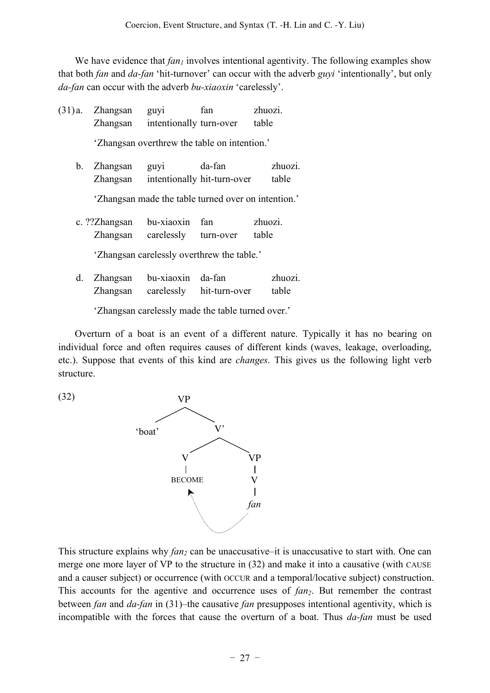We have evidence that  $fan_1$  involves intentional agentivity. The following examples show that both *fan* and *da-fan* 'hit-turnover' can occur with the adverb *guyi* 'intentionally', but only *da-fan* can occur with the adverb *bu-xiaoxin* 'carelessly'.

(31) a. Zhangsan guyi fan zhuozi. Zhangsan intentionally turn-over table 'Zhangsan overthrew the table on intention.' b. Zhangsan guyi da-fan zhuozi. Zhangsan intentionally hit-turn-over table 'Zhangsan made the table turned over on intention.' c. ??Zhangsan bu-xiaoxin fan zhuozi. Zhangsan carelessly turn-over table

'Zhangsan carelessly overthrew the table.'

d. Zhangsan bu-xiaoxin da-fan zhuozi. Zhangsan carelessly hit-turn-over table

'Zhangsan carelessly made the table turned over.'

Overturn of a boat is an event of a different nature. Typically it has no bearing on individual force and often requires causes of different kinds (waves, leakage, overloading, etc.). Suppose that events of this kind are *changes*. This gives us the following light verb structure.

(32)



This structure explains why *fan*<sub>2</sub> can be unaccusative–it is unaccusative to start with. One can merge one more layer of VP to the structure in (32) and make it into a causative (with CAUSE and a causer subject) or occurrence (with OCCUR and a temporal/locative subject) construction. This accounts for the agentive and occurrence uses of *fan<sub>2</sub>*. But remember the contrast between *fan* and *da-fan* in (31)–the causative *fan* presupposes intentional agentivity, which is incompatible with the forces that cause the overturn of a boat. Thus *da-fan* must be used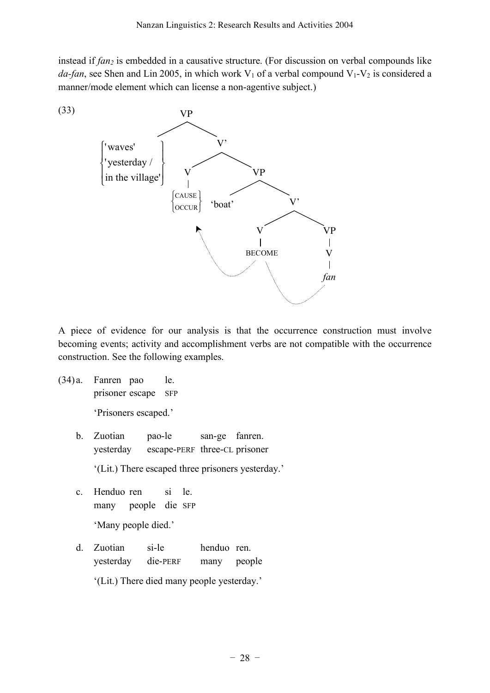instead if *fan<sub>2</sub>* is embedded in a causative structure. (For discussion on verbal compounds like *da-fan*, see Shen and Lin 2005, in which work  $V_1$  of a verbal compound  $V_1$ - $V_2$  is considered a manner/mode element which can license a non-agentive subject.)



A piece of evidence for our analysis is that the occurrence construction must involve becoming events; activity and accomplishment verbs are not compatible with the occurrence construction. See the following examples.

(34) a. Fanren pao le. prisoner escape SFP

'Prisoners escaped.'

b. Zuotian pao-le san-ge fanren. yesterday escape-PERF three-CL prisoner

'(Lit.) There escaped three prisoners yesterday.'

- c. Henduo ren si le. many people die SFP 'Many people died.'
- d. Zuotian si-le henduo ren. yesterday die-PERF many people '(Lit.) There died many people yesterday.'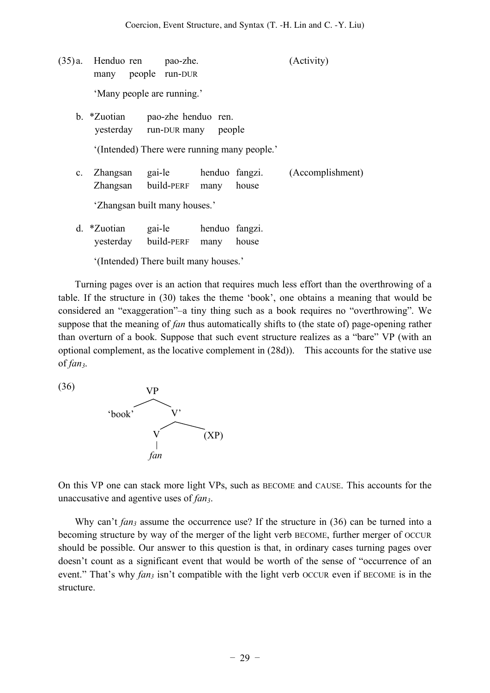- (35) a. Henduo ren pao-zhe. (Activity) many people run-DUR 'Many people are running.' b. \*Zuotian pao-zhe henduo ren. yesterday run-DUR many people '(Intended) There were running many people.' c. Zhangsan gai-le henduo fangzi. (Accomplishment) Zhangsan build-PERF many house 'Zhangsan built many houses.'
	- d. \*Zuotian gai-le henduo fangzi. yesterday build-PERF many house

'(Intended) There built many houses.'

Turning pages over is an action that requires much less effort than the overthrowing of a table. If the structure in (30) takes the theme 'book', one obtains a meaning that would be considered an "exaggeration"–a tiny thing such as a book requires no "overthrowing". We suppose that the meaning of *fan* thus automatically shifts to (the state of) page-opening rather than overturn of a book. Suppose that such event structure realizes as a "bare" VP (with an optional complement, as the locative complement in (28d)). This accounts for the stative use of *fan3*.

(36)



On this VP one can stack more light VPs, such as BECOME and CAUSE. This accounts for the unaccusative and agentive uses of *fan3*.

Why can't *fan<sub>3</sub>* assume the occurrence use? If the structure in (36) can be turned into a becoming structure by way of the merger of the light verb BECOME, further merger of OCCUR should be possible. Our answer to this question is that, in ordinary cases turning pages over doesn't count as a significant event that would be worth of the sense of "occurrence of an event." That's why *fan<sub>3</sub>* isn't compatible with the light verb OCCUR even if BECOME is in the structure.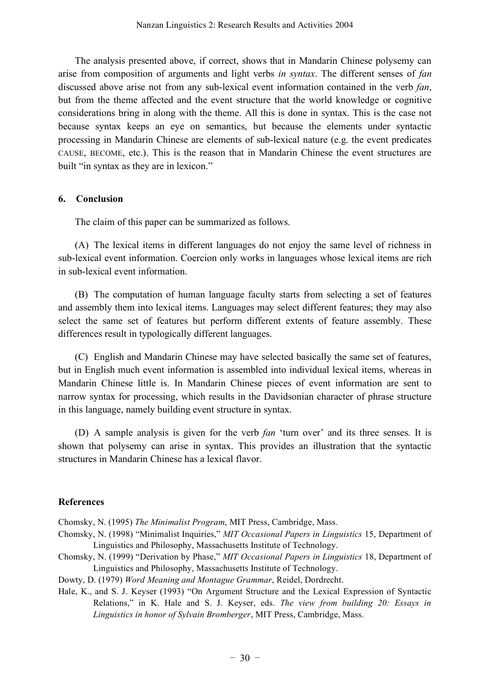The analysis presented above, if correct, shows that in Mandarin Chinese polysemy can arise from composition of arguments and light verbs *in syntax*. The different senses of *fan* discussed above arise not from any sub-lexical event information contained in the verb *fan*, but from the theme affected and the event structure that the world knowledge or cognitive considerations bring in along with the theme. All this is done in syntax. This is the case not because syntax keeps an eye on semantics, but because the elements under syntactic processing in Mandarin Chinese are elements of sub-lexical nature (e.g. the event predicates CAUSE, BECOME, etc.). This is the reason that in Mandarin Chinese the event structures are built "in syntax as they are in lexicon."

## **6. Conclusion**

The claim of this paper can be summarized as follows.

(A) The lexical items in different languages do not enjoy the same level of richness in sub-lexical event information. Coercion only works in languages whose lexical items are rich in sub-lexical event information.

(B) The computation of human language faculty starts from selecting a set of features and assembly them into lexical items. Languages may select different features; they may also select the same set of features but perform different extents of feature assembly. These differences result in typologically different languages.

(C) English and Mandarin Chinese may have selected basically the same set of features, but in English much event information is assembled into individual lexical items, whereas in Mandarin Chinese little is. In Mandarin Chinese pieces of event information are sent to narrow syntax for processing, which results in the Davidsonian character of phrase structure in this language, namely building event structure in syntax.

(D) A sample analysis is given for the verb *fan* 'turn over' and its three senses. It is shown that polysemy can arise in syntax. This provides an illustration that the syntactic structures in Mandarin Chinese has a lexical flavor.

## **References**

Chomsky, N. (1995) *The Minimalist Program*, MIT Press, Cambridge, Mass.

- Chomsky, N. (1998) "Minimalist Inquiries," *MIT Occasional Papers in Linguistics* 15, Department of Linguistics and Philosophy, Massachusetts Institute of Technology.
- Chomsky, N. (1999) "Derivation by Phase," *MIT Occasional Papers in Linguistics* 18, Department of Linguistics and Philosophy, Massachusetts Institute of Technology.

Dowty, D. (1979) *Word Meaning and Montague Grammar*, Reidel, Dordrecht.

Hale, K., and S. J. Keyser (1993) "On Argument Structure and the Lexical Expression of Syntactic Relations," in K. Hale and S. J. Keyser, eds. *The view from building 20: Essays in Linguistics in honor of Sylvain Bromberger*, MIT Press, Cambridge, Mass.